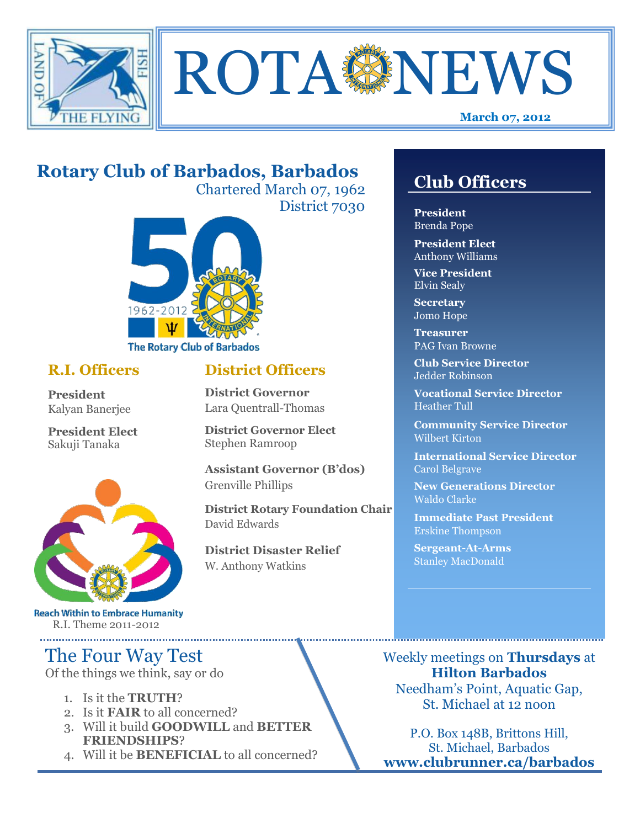



## **Rotary Club of Barbados, Barbados**

Chartered March 07, 1962 District 7030

**District Officers**

**District Governor Elect**

**District Disaster Relief**

W. Anthony Watkins

**Assistant Governor (B'dos)**

**District Rotary Foundation Chair**

**District Governor** Lara Quentrall-Thomas

Stephen Ramroop

Grenville Phillips

David Edwards



#### **R.I. Officers**

**President**  Kalyan Banerjee

**President Elect** Sakuji Tanaka



**Reach Within to Embrace Humanity** R.I. Theme 2011-2012

## The Four Way Test

Of the things we think, say or do

- 1. Is it the **TRUTH**?
- 2. Is it **FAIR** to all concerned?
- 3. Will it build **GOODWILL** and **BETTER FRIENDSHIPS**?
- 4. Will it be **BENEFICIAL** to all concerned?

### **Club Officers**

**Club Officers** 

**President** Brenda Pope

**President Elect** Anthony Williams

**Vice President** Elvin Sealy

**Secretary** Jomo Hope

**Treasurer** PAG Ivan Browne

**Club Service Director** Jedder Robinson

**Vocational Service Director** Heather Tull

**Community Service Director** Wilbert Kirton

**International Service Director** Carol Belgrave

**New Generations Director** Waldo Clarke

**Immediate Past President** Erskine Thompson

**Sergeant-At-Arms** Stanley MacDonald

Weekly meetings on **Thursdays** at **Hilton Barbados** Needham's Point, Aquatic Gap, St. Michael at 12 noon

P.O. Box 148B, Brittons Hill, St. Michael, Barbados **www.clubrunner.ca/barbados**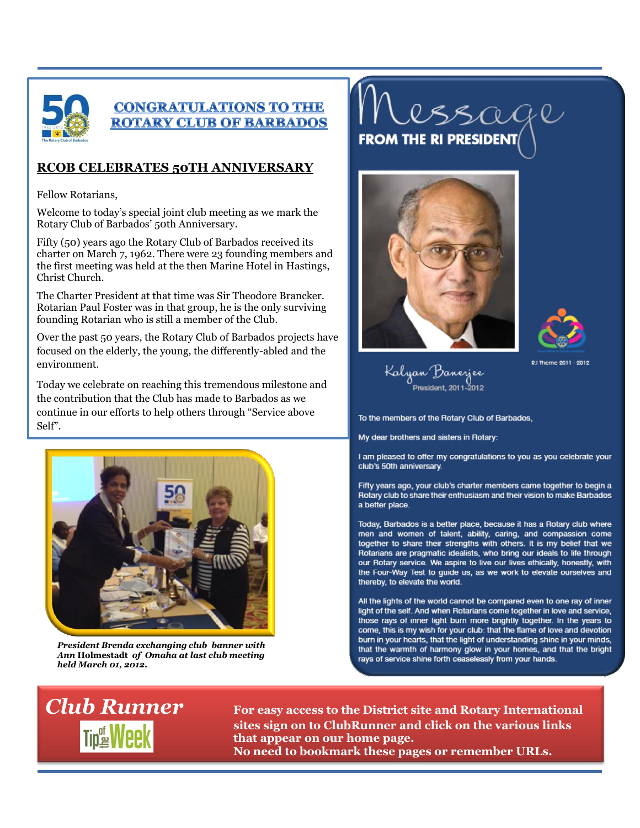

#### **CONGRATULATIONS TO THE ROTARY CLUB OF BARBADOS**

#### **RCOB CELEBRATES 50TH ANNIVERSARY**

Fellow Rotarians,

Welcome to today's special joint club meeting as we mark the Rotary Club of Barbados' 50th Anniversary.

Fifty (50) years ago the Rotary Club of Barbados received its charter on March 7, 1962. There were 23 founding members and the first meeting was held at the then Marine Hotel in Hastings, Christ Church.

The Charter President at that time was Sir Theodore Brancker. Rotarian Paul Foster was in that group, he is the only surviving founding Rotarian who is still a member of the Club.

Over the past 50 years, the Rotary Club of Barbados projects have focused on the elderly, the young, the differently-abled and the environment.

Today we celebrate on reaching this tremendous milestone and the contribution that the Club has made to Barbados as we continue in our efforts to help others through "Service above Self".



*President Brenda exchanging club banner with Ann* **Holmestadt** *of Omaha at last club meeting held March 01, 2012.*

# lssage **FROM THE RI PRESIDENT**





RJ Theme 2011 - 2012

Kalyan Banerjee<br>President, 2011–2012

To the members of the Rotary Club of Barbados,

My dear brothers and sisters in Rotary:

I am pleased to offer my congratulations to you as you celebrate your club's 50th anniversary.

Fifty years ago, your club's charter members came together to begin a Rotary club to share their enthusiasm and their vision to make Barbados a better place.

Today, Barbados is a better place, because it has a Rotary club where men and women of talent, ability, caring, and compassion come together to share their strengths with others. It is my belief that we Rotarians are pragmatic idealists, who bring our ideals to life through our Rotary service. We aspire to live our lives ethically, honestly, with the Four-Way Test to guide us, as we work to elevate ourselves and thereby, to elevate the world.

All the lights of the world cannot be compared even to one ray of inner light of the self. And when Rotarians come together in love and service, those rays of inner light burn more brightly together. In the years to come, this is my wish for your club: that the flame of love and devotion burn in your hearts, that the light of understanding shine in your minds, that the warmth of harmony glow in your homes, and that the bright rays of service shine forth ceaselessly from your hands.



*Club Runner* **For easy access to the District site and Rotary International sites sign on to ClubRunner and click on the various links that appear on our home page. No need to bookmark these pages or remember URLs.**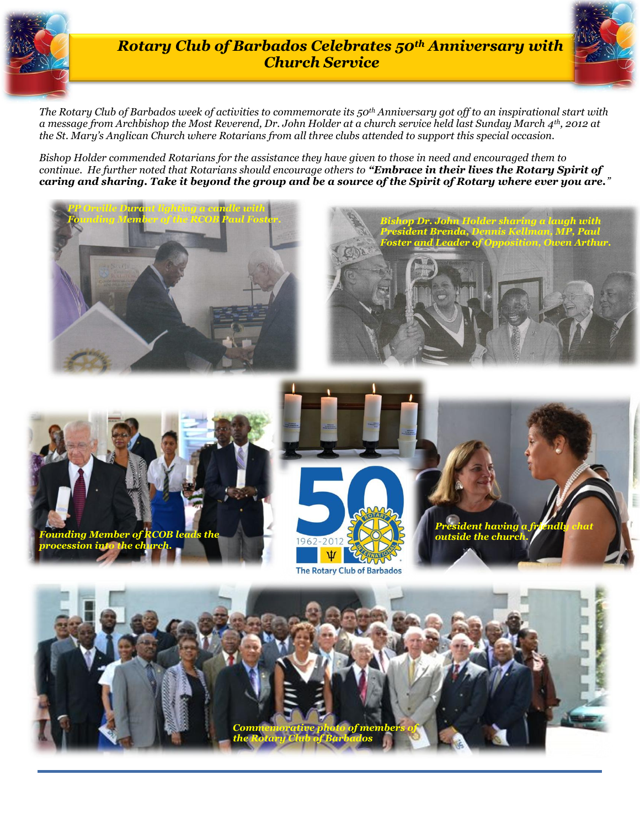

#### *Rotary Club of Barbados Celebrates 50th Anniversary with Church Service*

*Elvin Bond! the St. Mary's Anglican Church where Rotarians from all three clubs attended to support this special occasion. The Rotary Club of Barbados week of activities to commemorate its 50th Anniversary got off to an inspirational start with a message from Archbishop the Most Reverend, Dr. John Holder at a church service held last Sunday March 4th, 2012 at* 

*Bishop Holder commended Rotarians for the assistance they have given to those in need and encouraged them to continue. He further noted that Rotarians should encourage others to "Embrace in their lives the Rotary Spirit of caring and sharing. Take it beyond the group and be a source of the Spirit of Rotary where ever you are."* 



*Commemorative photo of members of the Rotary Club of Barbados*